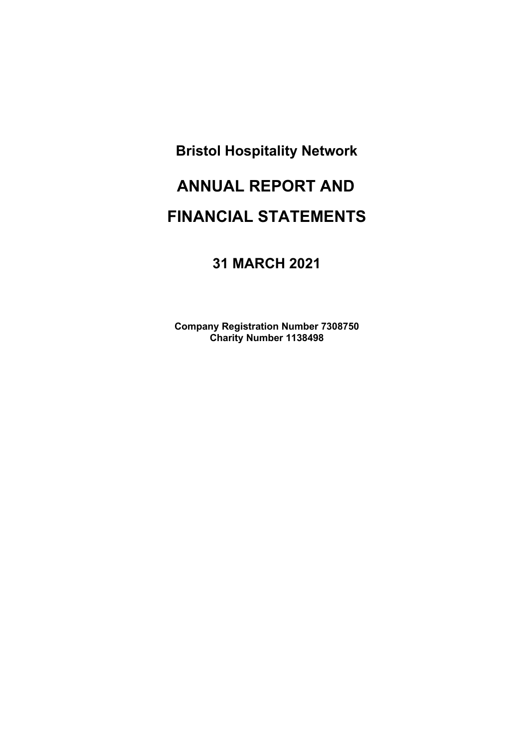# **ANNUAL REPORT AND FINANCIAL STATEMENTS**

# **31 MARCH 2021**

**Company Registration Number 7308750 Charity Number 1138498**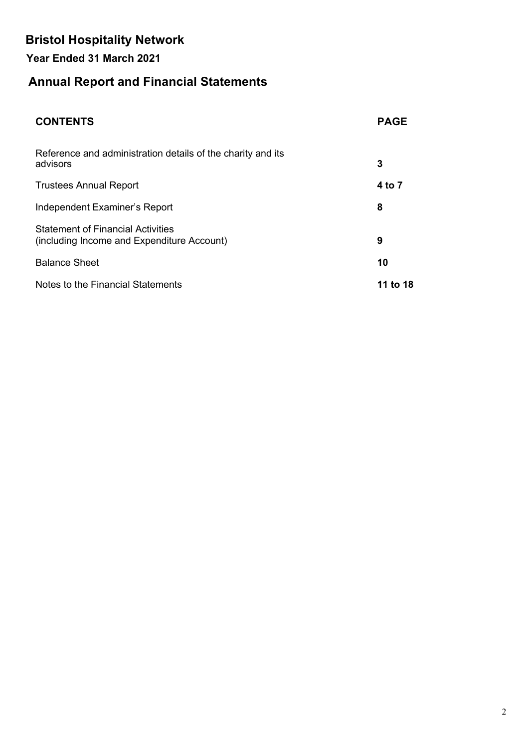# **Year Ended 31 March 2021**

# **Annual Report and Financial Statements**

| <b>CONTENTS</b>                                                                        | <b>PAGE</b> |
|----------------------------------------------------------------------------------------|-------------|
| Reference and administration details of the charity and its<br>advisors                | 3           |
| <b>Trustees Annual Report</b>                                                          | 4 to 7      |
| Independent Examiner's Report                                                          | 8           |
| <b>Statement of Financial Activities</b><br>(including Income and Expenditure Account) | 9           |
| <b>Balance Sheet</b>                                                                   | 10          |
| Notes to the Financial Statements                                                      | 11 to 18    |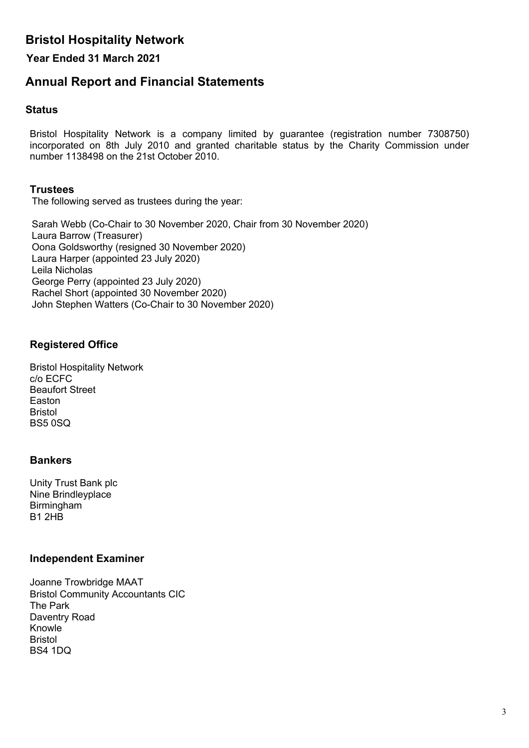### **Year Ended 31 March 2021**

# **Annual Report and Financial Statements**

#### **Status**

Bristol Hospitality Network is a company limited by guarantee (registration number 7308750) incorporated on 8th July 2010 and granted charitable status by the Charity Commission under number 1138498 on the 21st October 2010.

### **Trustees**

The following served as trustees during the year:

Sarah Webb (Co-Chair to 30 November 2020, Chair from 30 November 2020) Laura Barrow (Treasurer) Oona Goldsworthy (resigned 30 November 2020) Laura Harper (appointed 23 July 2020) Leila Nicholas George Perry (appointed 23 July 2020) Rachel Short (appointed 30 November 2020) John Stephen Watters (Co-Chair to 30 November 2020)

### **Registered Office**

Bristol Hospitality Network c/o ECFC Beaufort Street Easton Bristol BS5 0SQ

### **Bankers**

Unity Trust Bank plc Nine Brindleyplace Birmingham B1 2HB

#### **Independent Examiner**

Joanne Trowbridge MAAT Bristol Community Accountants CIC The Park Daventry Road Knowle Bristol BS4 1DQ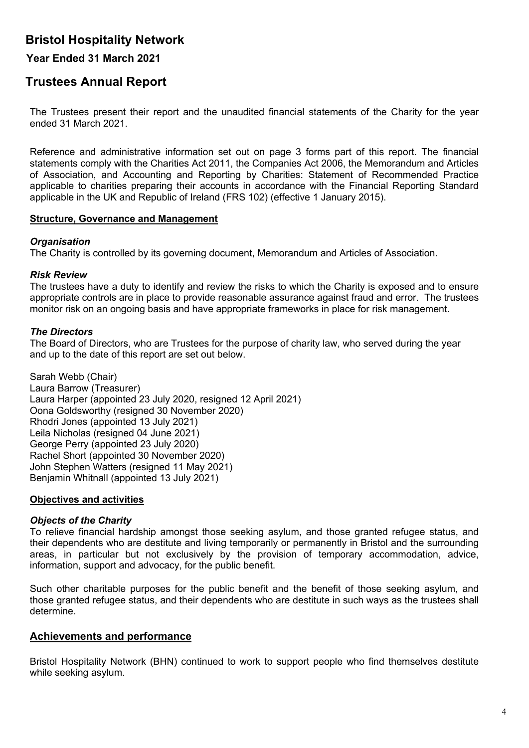### **Year Ended 31 March 2021**

# **Trustees Annual Report**

The Trustees present their report and the unaudited financial statements of the Charity for the year ended 31 March 2021.

Reference and administrative information set out on page 3 forms part of this report. The financial statements comply with the Charities Act 2011, the Companies Act 2006, the Memorandum and Articles of Association, and Accounting and Reporting by Charities: Statement of Recommended Practice applicable to charities preparing their accounts in accordance with the Financial Reporting Standard applicable in the UK and Republic of Ireland (FRS 102) (effective 1 January 2015).

#### **Structure, Governance and Management**

#### *Organisation*

The Charity is controlled by its governing document, Memorandum and Articles of Association.

### *Risk Review*

The trustees have a duty to identify and review the risks to which the Charity is exposed and to ensure appropriate controls are in place to provide reasonable assurance against fraud and error. The trustees monitor risk on an ongoing basis and have appropriate frameworks in place for risk management.

### *The Directors*

The Board of Directors, who are Trustees for the purpose of charity law, who served during the year and up to the date of this report are set out below.

Sarah Webb (Chair) Laura Barrow (Treasurer) Laura Harper (appointed 23 July 2020, resigned 12 April 2021) Oona Goldsworthy (resigned 30 November 2020) Rhodri Jones (appointed 13 July 2021) Leila Nicholas (resigned 04 June 2021) George Perry (appointed 23 July 2020) Rachel Short (appointed 30 November 2020) John Stephen Watters (resigned 11 May 2021) Benjamin Whitnall (appointed 13 July 2021)

#### **Objectives and activities**

#### *Objects of the Charity*

To relieve financial hardship amongst those seeking asylum, and those granted refugee status, and their dependents who are destitute and living temporarily or permanently in Bristol and the surrounding areas, in particular but not exclusively by the provision of temporary accommodation, advice, information, support and advocacy, for the public benefit.

Such other charitable purposes for the public benefit and the benefit of those seeking asylum, and those granted refugee status, and their dependents who are destitute in such ways as the trustees shall determine.

### **Achievements and performance**

Bristol Hospitality Network (BHN) continued to work to support people who find themselves destitute while seeking asylum.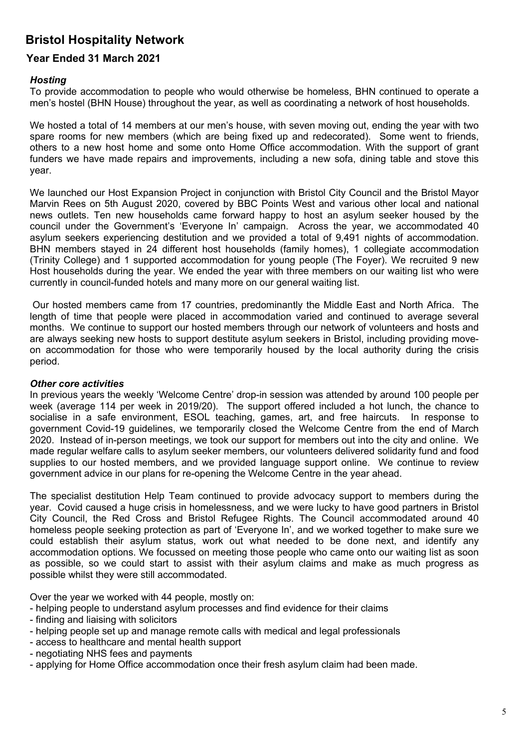### **Year Ended 31 March 2021**

#### *Hosting*

To provide accommodation to people who would otherwise be homeless, BHN continued to operate a men's hostel (BHN House) throughout the year, as well as coordinating a network of host households.

We hosted a total of 14 members at our men's house, with seven moving out, ending the year with two spare rooms for new members (which are being fixed up and redecorated). Some went to friends, others to a new host home and some onto Home Office accommodation. With the support of grant funders we have made repairs and improvements, including a new sofa, dining table and stove this year.

We launched our Host Expansion Project in conjunction with Bristol City Council and the Bristol Mayor Marvin Rees on 5th August 2020, covered by BBC Points West and various other local and national news outlets. Ten new households came forward happy to host an asylum seeker housed by the council under the Government's 'Everyone In' campaign. Across the year, we accommodated 40 asylum seekers experiencing destitution and we provided a total of 9,491 nights of accommodation. BHN members stayed in 24 different host households (family homes), 1 collegiate accommodation (Trinity College) and 1 supported accommodation for young people (The Foyer). We recruited 9 new Host households during the year. We ended the year with three members on our waiting list who were currently in council-funded hotels and many more on our general waiting list.

Our hosted members came from 17 countries, predominantly the Middle East and North Africa. The length of time that people were placed in accommodation varied and continued to average several months. We continue to support our hosted members through our network of volunteers and hosts and are always seeking new hosts to support destitute asylum seekers in Bristol, including providing moveon accommodation for those who were temporarily housed by the local authority during the crisis period.

#### *Other core activities*

In previous years the weekly 'Welcome Centre' drop-in session was attended by around 100 people per week (average 114 per week in 2019/20). The support offered included a hot lunch, the chance to socialise in a safe environment, ESOL teaching, games, art, and free haircuts. In response to government Covid-19 guidelines, we temporarily closed the Welcome Centre from the end of March 2020. Instead of in-person meetings, we took our support for members out into the city and online. We made regular welfare calls to asylum seeker members, our volunteers delivered solidarity fund and food supplies to our hosted members, and we provided language support online. We continue to review government advice in our plans for re-opening the Welcome Centre in the year ahead.

The specialist destitution Help Team continued to provide advocacy support to members during the year. Covid caused a huge crisis in homelessness, and we were lucky to have good partners in Bristol City Council, the Red Cross and Bristol Refugee Rights. The Council accommodated around 40 homeless people seeking protection as part of 'Everyone In', and we worked together to make sure we could establish their asylum status, work out what needed to be done next, and identify any accommodation options. We focussed on meeting those people who came onto our waiting list as soon as possible, so we could start to assist with their asylum claims and make as much progress as possible whilst they were still accommodated.

Over the year we worked with 44 people, mostly on:

- helping people to understand asylum processes and find evidence for their claims
- finding and liaising with solicitors
- helping people set up and manage remote calls with medical and legal professionals
- access to healthcare and mental health support
- negotiating NHS fees and payments
- applying for Home Office accommodation once their fresh asylum claim had been made.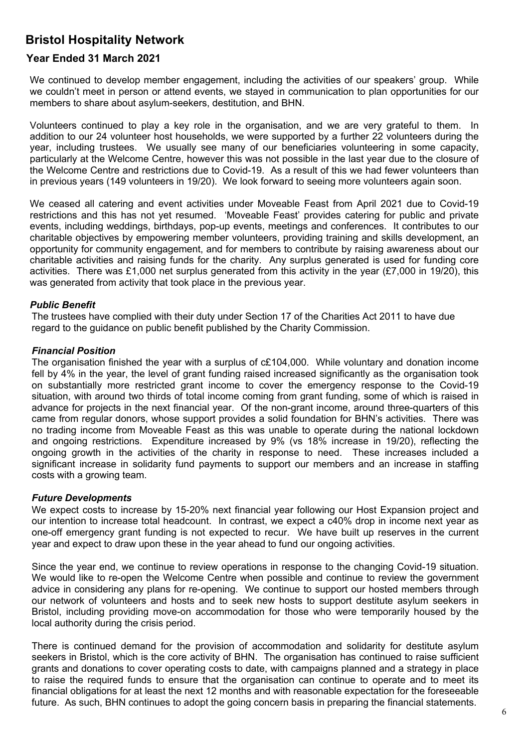### **Year Ended 31 March 2021**

We continued to develop member engagement, including the activities of our speakers' group. While we couldn't meet in person or attend events, we stayed in communication to plan opportunities for our members to share about asylum-seekers, destitution, and BHN.

Volunteers continued to play a key role in the organisation, and we are very grateful to them. In addition to our 24 volunteer host households, we were supported by a further 22 volunteers during the year, including trustees. We usually see many of our beneficiaries volunteering in some capacity, particularly at the Welcome Centre, however this was not possible in the last year due to the closure of the Welcome Centre and restrictions due to Covid-19. As a result of this we had fewer volunteers than in previous years (149 volunteers in 19/20). We look forward to seeing more volunteers again soon.

We ceased all catering and event activities under Moveable Feast from April 2021 due to Covid-19 restrictions and this has not yet resumed. 'Moveable Feast' provides catering for public and private events, including weddings, birthdays, pop-up events, meetings and conferences. It contributes to our charitable objectives by empowering member volunteers, providing training and skills development, an opportunity for community engagement, and for members to contribute by raising awareness about our charitable activities and raising funds for the charity. Any surplus generated is used for funding core activities. There was £1,000 net surplus generated from this activity in the year (£7,000 in 19/20), this was generated from activity that took place in the previous year.

#### *Public Benefit*

The trustees have complied with their duty under Section 17 of the Charities Act 2011 to have due regard to the guidance on public benefit published by the Charity Commission.

#### *Financial Position*

The organisation finished the year with a surplus of c£104,000. While voluntary and donation income fell by 4% in the year, the level of grant funding raised increased significantly as the organisation took on substantially more restricted grant income to cover the emergency response to the Covid-19 situation, with around two thirds of total income coming from grant funding, some of which is raised in advance for projects in the next financial year. Of the non-grant income, around three-quarters of this came from regular donors, whose support provides a solid foundation for BHN's activities. There was no trading income from Moveable Feast as this was unable to operate during the national lockdown and ongoing restrictions. Expenditure increased by 9% (vs 18% increase in 19/20), reflecting the ongoing growth in the activities of the charity in response to need. These increases included a significant increase in solidarity fund payments to support our members and an increase in staffing costs with a growing team.

#### *Future Developments*

We expect costs to increase by 15-20% next financial year following our Host Expansion project and our intention to increase total headcount. In contrast, we expect a c40% drop in income next year as one-off emergency grant funding is not expected to recur. We have built up reserves in the current year and expect to draw upon these in the year ahead to fund our ongoing activities.

Since the year end, we continue to review operations in response to the changing Covid-19 situation. We would like to re-open the Welcome Centre when possible and continue to review the government advice in considering any plans for re-opening. We continue to support our hosted members through our network of volunteers and hosts and to seek new hosts to support destitute asylum seekers in Bristol, including providing move-on accommodation for those who were temporarily housed by the local authority during the crisis period.

There is continued demand for the provision of accommodation and solidarity for destitute asylum seekers in Bristol, which is the core activity of BHN. The organisation has continued to raise sufficient grants and donations to cover operating costs to date, with campaigns planned and a strategy in place to raise the required funds to ensure that the organisation can continue to operate and to meet its financial obligations for at least the next 12 months and with reasonable expectation for the foreseeable future. As such, BHN continues to adopt the going concern basis in preparing the financial statements.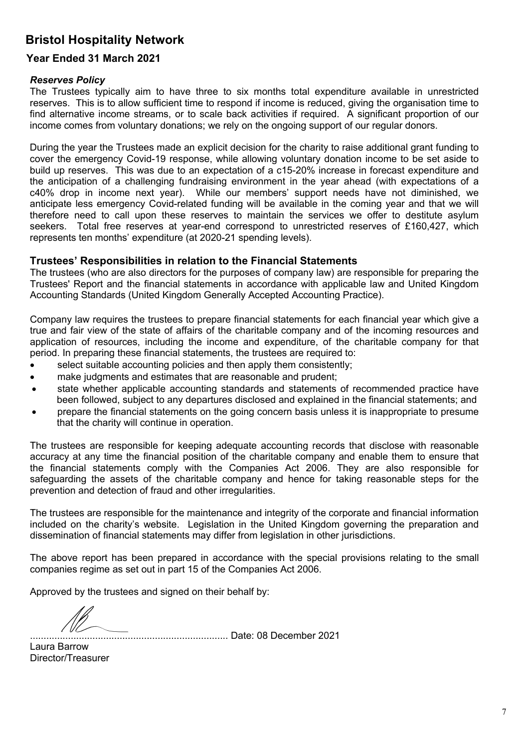### **Year Ended 31 March 2021**

#### *Reserves Policy*

The Trustees typically aim to have three to six months total expenditure available in unrestricted reserves. This is to allow sufficient time to respond if income is reduced, giving the organisation time to find alternative income streams, or to scale back activities if required. A significant proportion of our income comes from voluntary donations; we rely on the ongoing support of our regular donors.

During the year the Trustees made an explicit decision for the charity to raise additional grant funding to cover the emergency Covid-19 response, while allowing voluntary donation income to be set aside to build up reserves. This was due to an expectation of a c15-20% increase in forecast expenditure and the anticipation of a challenging fundraising environment in the year ahead (with expectations of a c40% drop in income next year). While our members' support needs have not diminished, we anticipate less emergency Covid-related funding will be available in the coming year and that we will therefore need to call upon these reserves to maintain the services we offer to destitute asylum seekers. Total free reserves at year-end correspond to unrestricted reserves of £160,427, which represents ten months' expenditure (at 2020-21 spending levels).

### **Trustees' Responsibilities in relation to the Financial Statements**

The trustees (who are also directors for the purposes of company law) are responsible for preparing the Trustees' Report and the financial statements in accordance with applicable law and United Kingdom Accounting Standards (United Kingdom Generally Accepted Accounting Practice).

Company law requires the trustees to prepare financial statements for each financial year which give a true and fair view of the state of affairs of the charitable company and of the incoming resources and application of resources, including the income and expenditure, of the charitable company for that period. In preparing these financial statements, the trustees are required to:

- select suitable accounting policies and then apply them consistently;
- make judgments and estimates that are reasonable and prudent;
- state whether applicable accounting standards and statements of recommended practice have been followed, subject to any departures disclosed and explained in the financial statements; and
- prepare the financial statements on the going concern basis unless it is inappropriate to presume that the charity will continue in operation.

The trustees are responsible for keeping adequate accounting records that disclose with reasonable accuracy at any time the financial position of the charitable company and enable them to ensure that the financial statements comply with the Companies Act 2006. They are also responsible for safeguarding the assets of the charitable company and hence for taking reasonable steps for the prevention and detection of fraud and other irregularities.

The trustees are responsible for the maintenance and integrity of the corporate and financial information included on the charity's website. Legislation in the United Kingdom governing the preparation and dissemination of financial statements may differ from legislation in other jurisdictions.

The above report has been prepared in accordance with the special provisions relating to the small companies regime as set out in part 15 of the Companies Act 2006.

Approved by the trustees and signed on their behalf by:

......................................................................... Date: 08 December 2021

Laura Barrow Director/Treasurer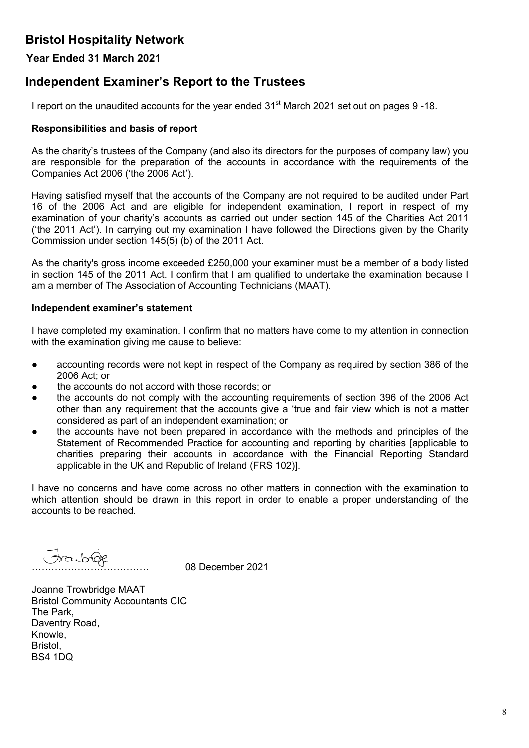### **Year Ended 31 March 2021**

# **Independent Examiner's Report to the Trustees**

I report on the unaudited accounts for the year ended 31<sup>st</sup> March 2021 set out on pages 9-18.

#### **Responsibilities and basis of report**

As the charity's trustees of the Company (and also its directors for the purposes of company law) you are responsible for the preparation of the accounts in accordance with the requirements of the Companies Act 2006 ('the 2006 Act').

Having satisfied myself that the accounts of the Company are not required to be audited under Part 16 of the 2006 Act and are eligible for independent examination, I report in respect of my examination of your charity's accounts as carried out under section 145 of the Charities Act 2011 ('the 2011 Act'). In carrying out my examination I have followed the Directions given by the Charity Commission under section 145(5) (b) of the 2011 Act.

As the charity's gross income exceeded £250,000 your examiner must be a member of a body listed in section 145 of the 2011 Act. I confirm that I am qualified to undertake the examination because I am a member of The Association of Accounting Technicians (MAAT).

#### **Independent examiner's statement**

I have completed my examination. I confirm that no matters have come to my attention in connection with the examination giving me cause to believe:

- accounting records were not kept in respect of the Company as required by section 386 of the 2006 Act; or
- the accounts do not accord with those records; or
- the accounts do not comply with the accounting requirements of section 396 of the 2006 Act other than any requirement that the accounts give a 'true and fair view which is not a matter considered as part of an independent examination; or
- the accounts have not been prepared in accordance with the methods and principles of the Statement of Recommended Practice for accounting and reporting by charities [applicable to charities preparing their accounts in accordance with the Financial Reporting Standard applicable in the UK and Republic of Ireland (FRS 102)].

I have no concerns and have come across no other matters in connection with the examination to which attention should be drawn in this report in order to enable a proper understanding of the accounts to be reached.

……………………………… 08 December 2021

Joanne Trowbridge MAAT Bristol Community Accountants CIC The Park, Daventry Road, Knowle, Bristol, BS4 1DQ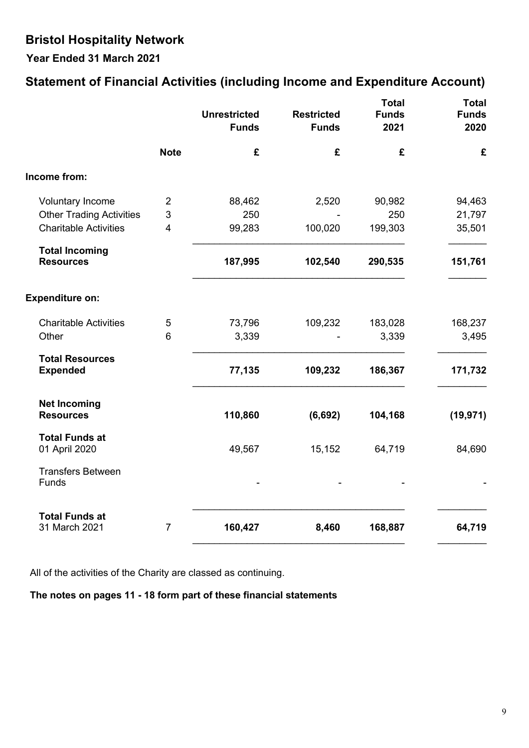**Year Ended 31 March 2021**

# **Statement of Financial Activities (including Income and Expenditure Account)**

|                                           |                | <b>Unrestricted</b><br><b>Funds</b> | <b>Restricted</b><br><b>Funds</b> | <b>Total</b><br><b>Funds</b><br>2021 | <b>Total</b><br><b>Funds</b><br>2020 |
|-------------------------------------------|----------------|-------------------------------------|-----------------------------------|--------------------------------------|--------------------------------------|
|                                           | <b>Note</b>    | £                                   | £                                 | £                                    | £                                    |
| Income from:                              |                |                                     |                                   |                                      |                                      |
| <b>Voluntary Income</b>                   | $\overline{2}$ | 88,462                              | 2,520                             | 90,982                               | 94,463                               |
| <b>Other Trading Activities</b>           | 3              | 250                                 |                                   | 250                                  | 21,797                               |
| <b>Charitable Activities</b>              | 4              | 99,283                              | 100,020                           | 199,303                              | 35,501                               |
| <b>Total Incoming</b><br><b>Resources</b> |                | 187,995                             | 102,540                           | 290,535                              | 151,761                              |
|                                           |                |                                     |                                   |                                      |                                      |
| <b>Expenditure on:</b>                    |                |                                     |                                   |                                      |                                      |
| <b>Charitable Activities</b>              | 5              | 73,796                              | 109,232                           | 183,028                              | 168,237                              |
| Other                                     | 6              | 3,339                               |                                   | 3,339                                | 3,495                                |
| <b>Total Resources</b><br><b>Expended</b> |                | 77,135                              | 109,232                           | 186,367                              | 171,732                              |
| <b>Net Incoming</b><br><b>Resources</b>   |                | 110,860                             | (6, 692)                          | 104,168                              | (19, 971)                            |
| <b>Total Funds at</b><br>01 April 2020    |                | 49,567                              | 15,152                            | 64,719                               | 84,690                               |
| <b>Transfers Between</b><br>Funds         |                |                                     |                                   |                                      |                                      |
| <b>Total Funds at</b><br>31 March 2021    | $\overline{7}$ | 160,427                             | 8,460                             | 168,887                              | 64,719                               |

All of the activities of the Charity are classed as continuing.

### **The notes on pages 11 - 18 form part of these financial statements**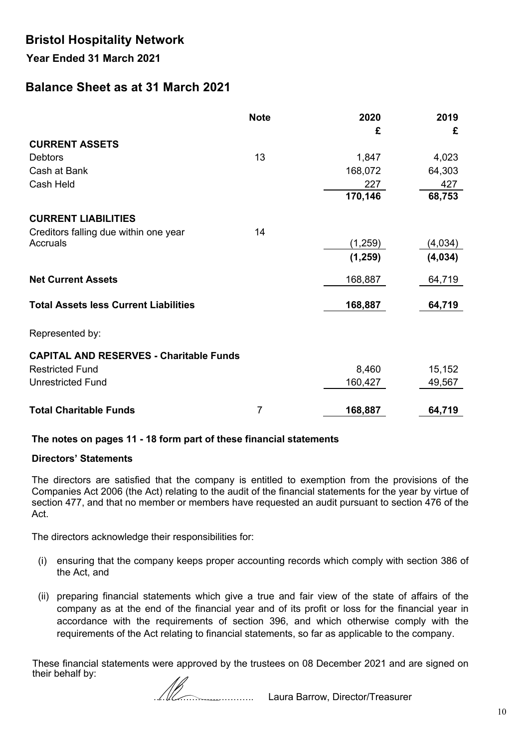**Year Ended 31 March 2021**

# **Balance Sheet as at 31 March 2021**

|                                                | <b>Note</b> | 2020     | 2019    |
|------------------------------------------------|-------------|----------|---------|
| <b>CURRENT ASSETS</b>                          |             | £        | £       |
| <b>Debtors</b>                                 | 13          | 1,847    | 4,023   |
| Cash at Bank                                   |             | 168,072  | 64,303  |
| Cash Held                                      |             | 227      | 427     |
|                                                |             | 170,146  | 68,753  |
| <b>CURRENT LIABILITIES</b>                     |             |          |         |
| Creditors falling due within one year          | 14          |          |         |
| Accruals                                       |             | (1,259)  | (4,034) |
|                                                |             | (1, 259) | (4,034) |
| <b>Net Current Assets</b>                      |             | 168,887  | 64,719  |
| <b>Total Assets less Current Liabilities</b>   |             | 168,887  | 64,719  |
| Represented by:                                |             |          |         |
| <b>CAPITAL AND RESERVES - Charitable Funds</b> |             |          |         |
| <b>Restricted Fund</b>                         |             | 8,460    | 15,152  |
| <b>Unrestricted Fund</b>                       |             | 160,427  | 49,567  |
|                                                |             |          |         |
| <b>Total Charitable Funds</b>                  | 7           | 168,887  | 64,719  |

### **The notes on pages 11 - 18 form part of these financial statements**

#### **Directors' Statements**

The directors are satisfied that the company is entitled to exemption from the provisions of the Companies Act 2006 (the Act) relating to the audit of the financial statements for the year by virtue of section 477, and that no member or members have requested an audit pursuant to section 476 of the Act.

The directors acknowledge their responsibilities for:

- (i) ensuring that the company keeps proper accounting records which comply with section 386 of the Act, and
- (ii) preparing financial statements which give a true and fair view of the state of affairs of the company as at the end of the financial year and of its profit or loss for the financial year in accordance with the requirements of section 396, and which otherwise comply with the requirements of the Act relating to financial statements, so far as applicable to the company.

These financial statements were approved by the trustees on 08 December 2021 and are signed on their behalf by:

……………………………. Laura Barrow, Director/Treasurer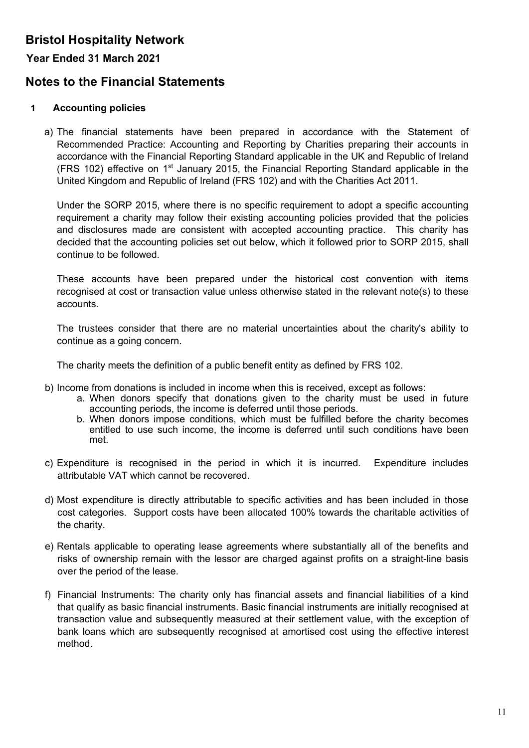### **Year Ended 31 March 2021**

# **Notes to the Financial Statements**

### **1 Accounting policies**

a) The financial statements have been prepared in accordance with the Statement of Recommended Practice: Accounting and Reporting by Charities preparing their accounts in accordance with the Financial Reporting Standard applicable in the UK and Republic of Ireland (FRS 102) effective on  $1<sup>st</sup>$  January 2015, the Financial Reporting Standard applicable in the United Kingdom and Republic of Ireland (FRS 102) and with the Charities Act 2011.

Under the SORP 2015, where there is no specific requirement to adopt a specific accounting requirement a charity may follow their existing accounting policies provided that the policies and disclosures made are consistent with accepted accounting practice. This charity has decided that the accounting policies set out below, which it followed prior to SORP 2015, shall continue to be followed.

These accounts have been prepared under the historical cost convention with items recognised at cost or transaction value unless otherwise stated in the relevant note(s) to these accounts.

The trustees consider that there are no material uncertainties about the charity's ability to continue as a going concern.

The charity meets the definition of a public benefit entity as defined by FRS 102.

- b) Income from donations is included in income when this is received, except as follows:
	- a. When donors specify that donations given to the charity must be used in future accounting periods, the income is deferred until those periods.
	- b. When donors impose conditions, which must be fulfilled before the charity becomes entitled to use such income, the income is deferred until such conditions have been met.
- c) Expenditure is recognised in the period in which it is incurred. Expenditure includes attributable VAT which cannot be recovered.
- d) Most expenditure is directly attributable to specific activities and has been included in those cost categories. Support costs have been allocated 100% towards the charitable activities of the charity.
- e) Rentals applicable to operating lease agreements where substantially all of the benefits and risks of ownership remain with the lessor are charged against profits on a straight-line basis over the period of the lease.
- f) Financial Instruments: The charity only has financial assets and financial liabilities of a kind that qualify as basic financial instruments. Basic financial instruments are initially recognised at transaction value and subsequently measured at their settlement value, with the exception of bank loans which are subsequently recognised at amortised cost using the effective interest method.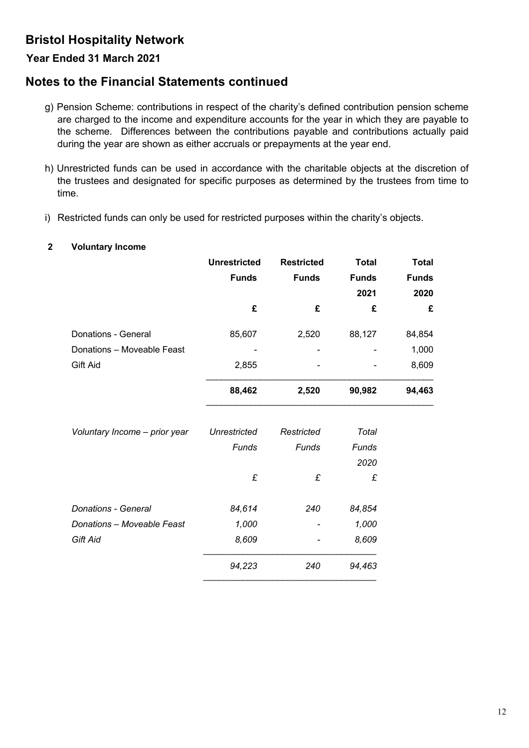### **Year Ended 31 March 2021**

# **Notes to the Financial Statements continued**

- g) Pension Scheme: contributions in respect of the charity's defined contribution pension scheme are charged to the income and expenditure accounts for the year in which they are payable to the scheme. Differences between the contributions payable and contributions actually paid during the year are shown as either accruals or prepayments at the year end.
- h) Unrestricted funds can be used in accordance with the charitable objects at the discretion of the trustees and designated for specific purposes as determined by the trustees from time to time.
- i) Restricted funds can only be used for restricted purposes within the charity's objects.

#### **2 Voluntary Income**

|                               | <b>Unrestricted</b> | <b>Restricted</b> | <b>Total</b> | <b>Total</b> |
|-------------------------------|---------------------|-------------------|--------------|--------------|
|                               | <b>Funds</b>        | <b>Funds</b>      | <b>Funds</b> | <b>Funds</b> |
|                               |                     |                   | 2021         | 2020         |
|                               | £                   | £                 | £            | £            |
| Donations - General           | 85,607              | 2,520             | 88,127       | 84,854       |
| Donations - Moveable Feast    |                     |                   |              | 1,000        |
| Gift Aid                      | 2,855               |                   |              | 8,609        |
|                               | 88,462              | 2,520             | 90,982       | 94,463       |
| Voluntary Income - prior year | <b>Unrestricted</b> | Restricted        | <b>Total</b> |              |
|                               | Funds               | Funds             | Funds        |              |
|                               |                     |                   | 2020         |              |
|                               | £                   | £                 | £            |              |
| <b>Donations - General</b>    | 84,614              | 240               | 84,854       |              |
| Donations - Moveable Feast    | 1,000               |                   | 1,000        |              |
| <b>Gift Aid</b>               | 8,609               |                   | 8,609        |              |
|                               | 94,223              | 240               | 94,463       |              |
|                               |                     |                   |              |              |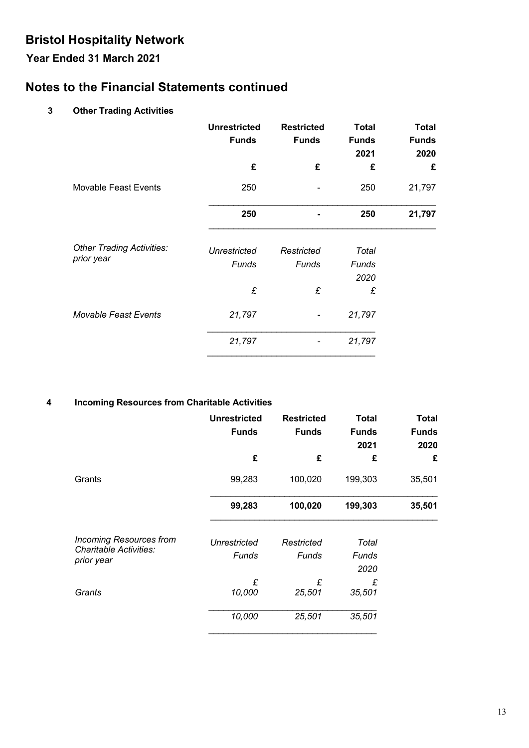# **Year Ended 31 March 2021**

# **Notes to the Financial Statements continued**

### **3 Other Trading Activities**

|                                  | <b>Unrestricted</b><br><b>Funds</b> | <b>Restricted</b><br><b>Funds</b> | <b>Total</b><br><b>Funds</b><br>2021 | <b>Total</b><br><b>Funds</b><br>2020 |
|----------------------------------|-------------------------------------|-----------------------------------|--------------------------------------|--------------------------------------|
|                                  | £                                   | £                                 | £                                    | £                                    |
| <b>Movable Feast Events</b>      | 250                                 |                                   | 250                                  | 21,797                               |
|                                  | 250                                 |                                   | 250                                  | 21,797                               |
| <b>Other Trading Activities:</b> | <b>Unrestricted</b>                 | Restricted                        | Total                                |                                      |
| prior year                       | Funds                               | Funds                             | Funds<br>2020                        |                                      |
|                                  | £                                   | £                                 | £                                    |                                      |
| <b>Movable Feast Events</b>      | 21,797                              |                                   | 21,797                               |                                      |
|                                  | 21,797                              |                                   | 21,797                               |                                      |

### **4 Incoming Resources from Charitable Activities**

|                                      | <b>Unrestricted</b><br><b>Funds</b> | <b>Restricted</b><br><b>Funds</b> | <b>Total</b><br><b>Funds</b><br>2021 | <b>Total</b><br><b>Funds</b><br>2020 |
|--------------------------------------|-------------------------------------|-----------------------------------|--------------------------------------|--------------------------------------|
|                                      | £                                   | £                                 | £                                    | £                                    |
| Grants                               | 99,283                              | 100,020                           | 199,303                              | 35,501                               |
|                                      | 99,283                              | 100,020                           | 199,303                              | 35,501                               |
| <b>Incoming Resources from</b>       | Unrestricted                        | Restricted                        | Total                                |                                      |
| Charitable Activities:<br>prior year | Funds                               | Funds                             | Funds                                |                                      |
|                                      |                                     |                                   | 2020                                 |                                      |
|                                      | £                                   | £                                 | £                                    |                                      |
| Grants                               | 10,000                              | 25,501                            | 35,501                               |                                      |
|                                      | 10,000                              | 25,501                            | 35,501                               |                                      |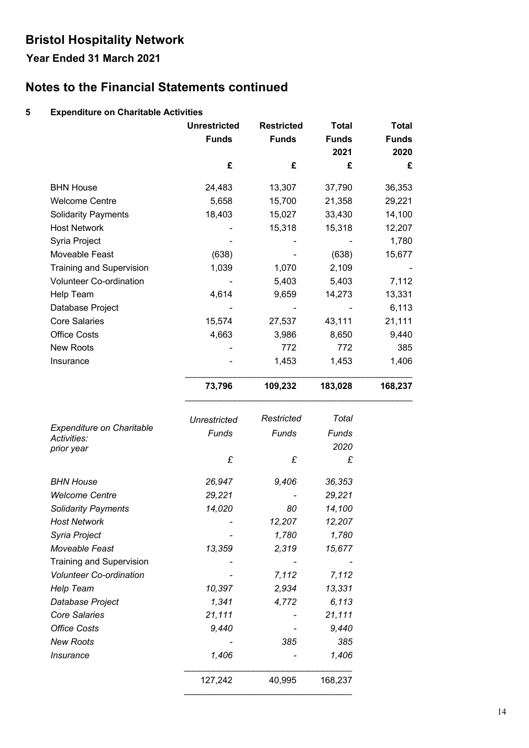# **Year Ended 31 March 2021**

# **Notes to the Financial Statements continued**

### **5 Expenditure on Charitable Activities**

|                                          | <b>Unrestricted</b><br><b>Funds</b><br>£ | <b>Restricted</b><br><b>Funds</b><br>£ | <b>Total</b><br><b>Funds</b><br>2021<br>£ | <b>Total</b><br><b>Funds</b><br>2020<br>£ |
|------------------------------------------|------------------------------------------|----------------------------------------|-------------------------------------------|-------------------------------------------|
|                                          |                                          |                                        |                                           |                                           |
| <b>BHN House</b>                         | 24,483                                   | 13,307                                 | 37,790                                    | 36,353                                    |
| <b>Welcome Centre</b>                    | 5,658                                    | 15,700                                 | 21,358                                    | 29,221                                    |
| <b>Solidarity Payments</b>               | 18,403                                   | 15,027                                 | 33,430                                    | 14,100                                    |
| <b>Host Network</b>                      |                                          | 15,318                                 | 15,318                                    | 12,207                                    |
| Syria Project                            |                                          |                                        |                                           | 1,780                                     |
| Moveable Feast                           | (638)                                    |                                        | (638)                                     | 15,677                                    |
| <b>Training and Supervision</b>          | 1,039                                    | 1,070                                  | 2,109                                     |                                           |
| Volunteer Co-ordination                  |                                          | 5,403                                  | 5,403                                     | 7,112                                     |
| Help Team                                | 4,614                                    | 9,659                                  | 14,273                                    | 13,331                                    |
| Database Project                         |                                          |                                        |                                           | 6,113                                     |
| <b>Core Salaries</b>                     | 15,574                                   | 27,537                                 | 43,111                                    | 21,111                                    |
| <b>Office Costs</b>                      | 4,663                                    | 3,986                                  | 8,650                                     | 9,440                                     |
| New Roots                                |                                          | 772                                    | 772                                       | 385                                       |
| Insurance                                |                                          | 1,453                                  | 1,453                                     | 1,406                                     |
|                                          | 73,796                                   | 109,232                                | 183,028                                   | 168,237                                   |
|                                          | <b>Unrestricted</b>                      | Restricted                             | Total                                     |                                           |
| Expenditure on Charitable<br>Activities: | Funds                                    | Funds                                  | Funds                                     |                                           |
| prior year                               |                                          |                                        | 2020                                      |                                           |
|                                          | £                                        | £                                      | £                                         |                                           |
| <b>BHN House</b>                         | 26,947                                   | 9,406                                  | 36,353                                    |                                           |
| <b>Welcome Centre</b>                    | 29,221                                   |                                        | 29,221                                    |                                           |
| <b>Solidarity Payments</b>               | 14,020                                   | 80                                     | 14,100                                    |                                           |
| <b>Host Network</b>                      |                                          | 12,207                                 | 12,207                                    |                                           |
| Syria Project                            |                                          | 1,780                                  | 1,780                                     |                                           |
| Moveable Feast                           | 13,359                                   | 2,319                                  | 15,677                                    |                                           |
| <b>Training and Supervision</b>          |                                          |                                        |                                           |                                           |
| <b>Volunteer Co-ordination</b>           |                                          | 7,112                                  | 7,112                                     |                                           |
| Help Team                                | 10,397                                   | 2,934                                  | 13,331                                    |                                           |
| Database Project                         | 1,341                                    | 4,772                                  | 6,113                                     |                                           |
| <b>Core Salaries</b>                     | 21,111                                   |                                        | 21,111                                    |                                           |
| <b>Office Costs</b>                      | 9,440                                    |                                        | 9,440                                     |                                           |
| <b>New Roots</b>                         |                                          | 385                                    | 385                                       |                                           |
| Insurance                                | 1,406                                    |                                        | 1,406                                     |                                           |
|                                          | 127,242                                  | 40,995                                 | 168,237                                   |                                           |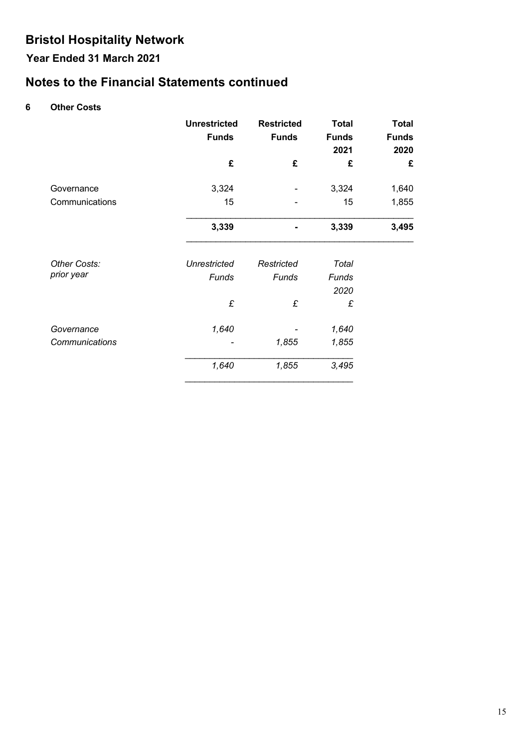# **Year Ended 31 March 2021**

# **Notes to the Financial Statements continued**

### **6 Other Costs**

|                            | <b>Unrestricted</b><br><b>Funds</b> | <b>Restricted</b><br><b>Funds</b> | <b>Total</b><br><b>Funds</b><br>2021 | <b>Total</b><br><b>Funds</b><br>2020 |
|----------------------------|-------------------------------------|-----------------------------------|--------------------------------------|--------------------------------------|
|                            | £                                   | £                                 | £                                    | £                                    |
| Governance                 | 3,324                               |                                   | 3,324                                | 1,640                                |
| Communications             | 15                                  |                                   | 15                                   | 1,855                                |
|                            | 3,339                               |                                   | 3,339                                | 3,495                                |
| Other Costs:<br>prior year | <b>Unrestricted</b><br>Funds        | Restricted<br>Funds               | Total<br>Funds                       |                                      |
|                            | £                                   | £                                 | 2020<br>£                            |                                      |
| Governance                 | 1,640                               |                                   | 1,640                                |                                      |
| Communications             |                                     | 1,855                             | 1,855                                |                                      |
|                            | 1,640                               | 1,855                             | 3,495                                |                                      |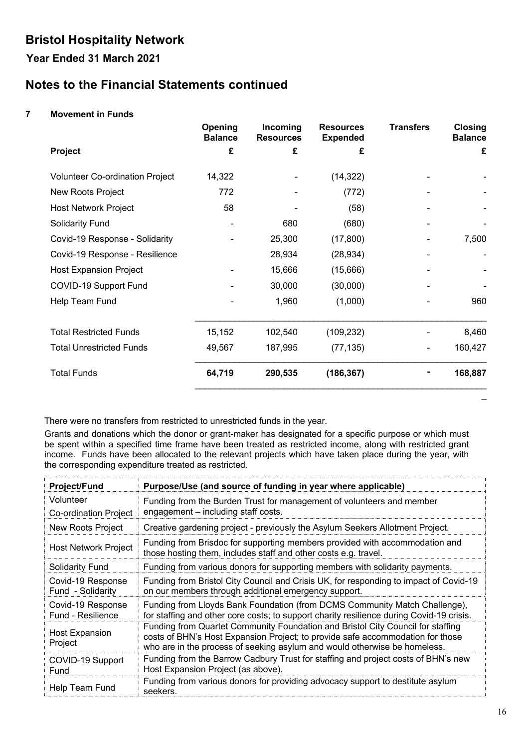# **Year Ended 31 March 2021**

# **Notes to the Financial Statements continued**

### **7 Movement in Funds**

|                                        | Opening<br><b>Balance</b> | Incoming<br><b>Resources</b> | <b>Resources</b><br><b>Expended</b> | <b>Transfers</b> | <b>Closing</b><br><b>Balance</b> |
|----------------------------------------|---------------------------|------------------------------|-------------------------------------|------------------|----------------------------------|
| <b>Project</b>                         | £                         | £                            | £                                   |                  | £                                |
| <b>Volunteer Co-ordination Project</b> | 14,322                    |                              | (14, 322)                           |                  |                                  |
| New Roots Project                      | 772                       |                              | (772)                               |                  |                                  |
| <b>Host Network Project</b>            | 58                        |                              | (58)                                |                  |                                  |
| <b>Solidarity Fund</b>                 |                           | 680                          | (680)                               |                  |                                  |
| Covid-19 Response - Solidarity         |                           | 25,300                       | (17, 800)                           |                  | 7,500                            |
| Covid-19 Response - Resilience         |                           | 28,934                       | (28, 934)                           |                  |                                  |
| <b>Host Expansion Project</b>          |                           | 15,666                       | (15,666)                            |                  |                                  |
| COVID-19 Support Fund                  |                           | 30,000                       | (30,000)                            |                  |                                  |
| Help Team Fund                         |                           | 1,960                        | (1,000)                             |                  | 960                              |
| <b>Total Restricted Funds</b>          | 15,152                    | 102,540                      | (109, 232)                          |                  | 8,460                            |
| <b>Total Unrestricted Funds</b>        | 49,567                    | 187,995                      | (77, 135)                           |                  | 160,427                          |
| <b>Total Funds</b>                     | 64,719                    | 290,535                      | (186, 367)                          |                  | 168,887                          |

There were no transfers from restricted to unrestricted funds in the year.

Grants and donations which the donor or grant-maker has designated for a specific purpose or which must be spent within a specified time frame have been treated as restricted income, along with restricted grant income. Funds have been allocated to the relevant projects which have taken place during the year, with the corresponding expenditure treated as restricted.

| <b>Project/Fund</b>                    | Purpose/Use (and source of funding in year where applicable)                                                                                                                                                                                   |
|----------------------------------------|------------------------------------------------------------------------------------------------------------------------------------------------------------------------------------------------------------------------------------------------|
| Volunteer                              | Funding from the Burden Trust for management of volunteers and member                                                                                                                                                                          |
| <b>Co-ordination Project</b>           | engagement - including staff costs.                                                                                                                                                                                                            |
| New Roots Project                      | Creative gardening project - previously the Asylum Seekers Allotment Project.                                                                                                                                                                  |
| <b>Host Network Project</b>            | Funding from Brisdoc for supporting members provided with accommodation and<br>those hosting them, includes staff and other costs e.g. travel.                                                                                                 |
| <b>Solidarity Fund</b>                 | Funding from various donors for supporting members with solidarity payments.                                                                                                                                                                   |
| Covid-19 Response<br>Fund - Solidarity | Funding from Bristol City Council and Crisis UK, for responding to impact of Covid-19<br>on our members through additional emergency support.                                                                                                  |
| Covid-19 Response<br>Fund - Resilience | Funding from Lloyds Bank Foundation (from DCMS Community Match Challenge),<br>for staffing and other core costs; to support charity resilience during Covid-19 crisis.                                                                         |
| <b>Host Expansion</b><br>Project       | Funding from Quartet Community Foundation and Bristol City Council for staffing<br>costs of BHN's Host Expansion Project; to provide safe accommodation for those<br>who are in the process of seeking asylum and would otherwise be homeless. |
| COVID-19 Support<br>Fund               | Funding from the Barrow Cadbury Trust for staffing and project costs of BHN's new<br>Host Expansion Project (as above).                                                                                                                        |
| Help Team Fund                         | Funding from various donors for providing advocacy support to destitute asylum<br>seekers.                                                                                                                                                     |

\_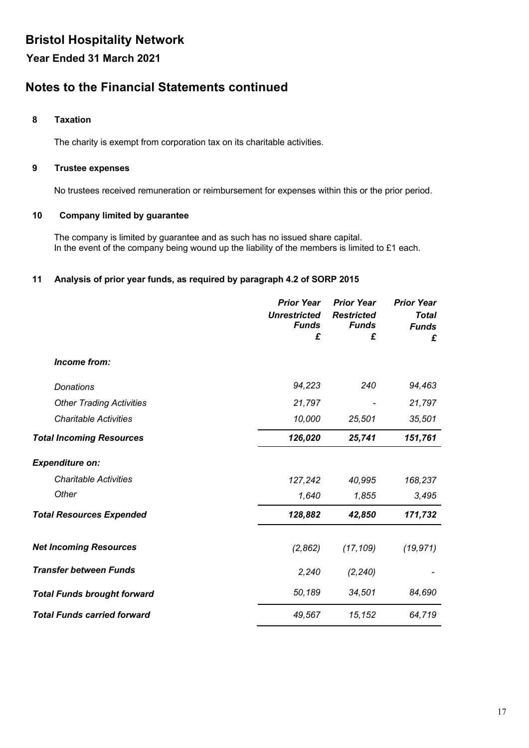**Year Ended 31 March 2021**

# **Notes to the Financial Statements continued**

#### **8 Taxation**

The charity is exempt from corporation tax on its charitable activities.

#### **9 Trustee expenses**

No trustees received remuneration or reimbursement for expenses within this or the prior period.

#### **10 Company limited by guarantee**

The company is limited by guarantee and as such has no issued share capital. In the event of the company being wound up the liability of the members is limited to £1 each.

#### **11 Analysis of prior year funds, as required by paragraph 4.2 of SORP 2015**

|                                    | <b>Prior Year</b>   | <b>Prior Year</b> | <b>Prior Year</b> |
|------------------------------------|---------------------|-------------------|-------------------|
|                                    | <b>Unrestricted</b> | <b>Restricted</b> | <b>Total</b>      |
|                                    | <b>Funds</b>        | <b>Funds</b>      | <b>Funds</b>      |
|                                    | £                   | £                 | £                 |
| Income from:                       |                     |                   |                   |
| <b>Donations</b>                   | 94,223              | 240               | 94,463            |
| <b>Other Trading Activities</b>    | 21,797              |                   | 21,797            |
| <b>Charitable Activities</b>       | 10,000              | 25,501            | 35,501            |
| <b>Total Incoming Resources</b>    | 126,020             | 25,741            | 151,761           |
| <b>Expenditure on:</b>             |                     |                   |                   |
| <b>Charitable Activities</b>       | 127,242             | 40,995            | 168,237           |
| Other                              | 1,640               | 1,855             | 3,495             |
| <b>Total Resources Expended</b>    | 128,882             | 42,850            | 171,732           |
| <b>Net Incoming Resources</b>      | (2,862)             | (17, 109)         | (19, 971)         |
| <b>Transfer between Funds</b>      | 2,240               | (2, 240)          |                   |
| <b>Total Funds brought forward</b> | 50,189              | 34,501            | 84,690            |
| <b>Total Funds carried forward</b> | 49,567              | 15,152            | 64,719            |